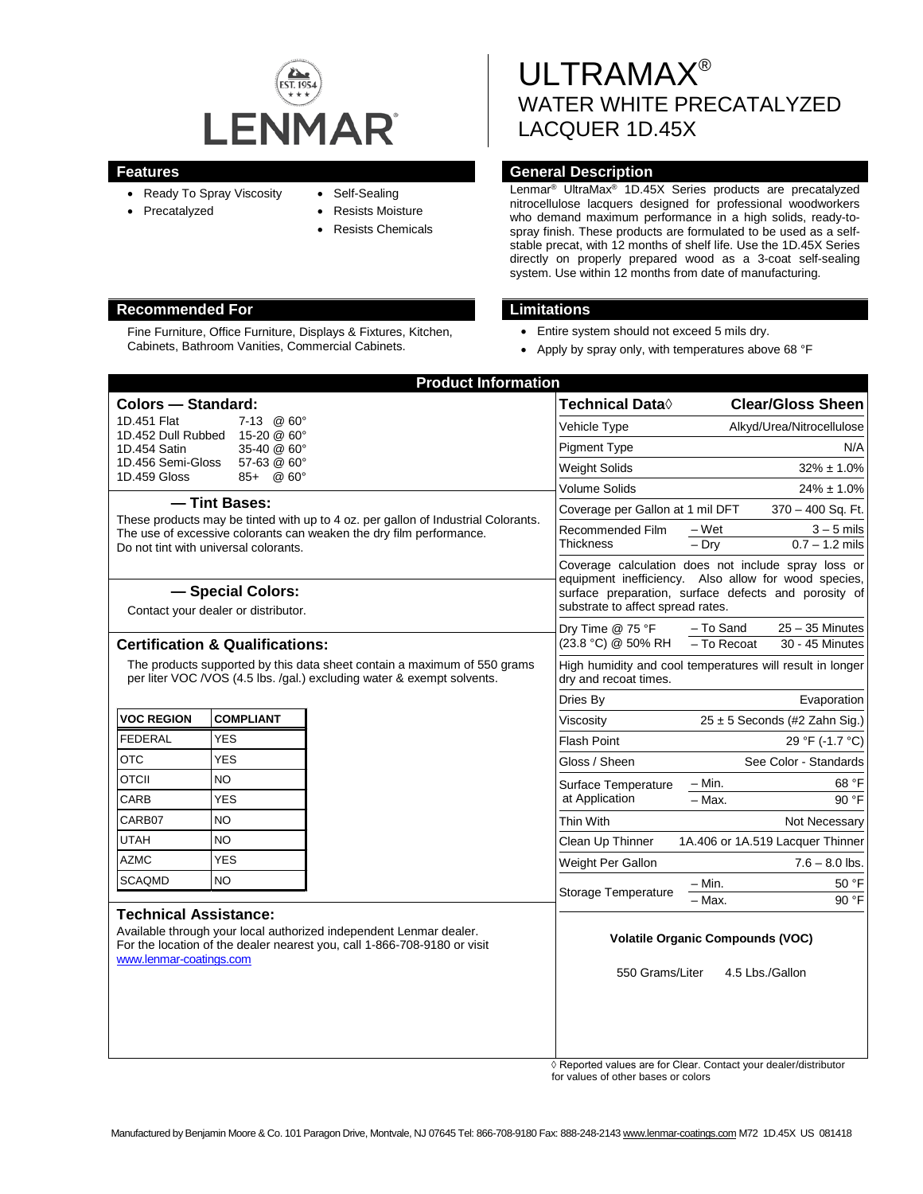

Fine Furniture, Office Furniture, Displays & Fixtures, Kitchen, Cabinets, Bathroom Vanities, Commercial Cabinets.

- Ready To Spray Viscosity
- Precatalyzed
- Self-Sealing
- 
- Resists Moisture
- Resists Chemicals

# ULTRAMAX® WATER WHITE PRECATALYZED LACQUER 1D.45X

# **Features General Description**

Lenmar® UltraMax® 1D.45X Series products are precatalyzed nitrocellulose lacquers designed for professional woodworkers who demand maximum performance in a high solids, ready-tospray finish. These products are formulated to be used as a selfstable precat, with 12 months of shelf life. Use the 1D.45X Series directly on properly prepared wood as a 3-coat self-sealing system. Use within 12 months from date of manufacturing.

# **Recommended For Limitations**

- Entire system should not exceed 5 mils dry.
- Apply by spray only, with temperatures above 68 °F

| <b>Product Information</b>                                                                                                                                                                                |                                      |                     |                                                                                                                                                                                                          |                                                                  |
|-----------------------------------------------------------------------------------------------------------------------------------------------------------------------------------------------------------|--------------------------------------|---------------------|----------------------------------------------------------------------------------------------------------------------------------------------------------------------------------------------------------|------------------------------------------------------------------|
| <b>Colors - Standard:</b>                                                                                                                                                                                 |                                      |                     | Technical Data $\Diamond$                                                                                                                                                                                | <b>Clear/Gloss Sheen</b>                                         |
| 1D.451 Flat<br>1D.452 Dull Rubbed                                                                                                                                                                         | $7-13$ @ $60^{\circ}$<br>15-20 @ 60° |                     | Vehicle Type                                                                                                                                                                                             | Alkyd/Urea/Nitrocellulose                                        |
| 35-40 @ 60°<br>1D.454 Satin                                                                                                                                                                               |                                      | <b>Pigment Type</b> | N/A                                                                                                                                                                                                      |                                                                  |
| 1D.456 Semi-Gloss<br>1D.459 Gloss                                                                                                                                                                         | 57-63 @ 60°<br>@60°<br>85+           |                     | <b>Weight Solids</b>                                                                                                                                                                                     | $32\% \pm 1.0\%$                                                 |
|                                                                                                                                                                                                           |                                      |                     | Volume Solids                                                                                                                                                                                            | $24\% \pm 1.0\%$                                                 |
| - Tint Bases:                                                                                                                                                                                             |                                      |                     | Coverage per Gallon at 1 mil DFT<br>370 - 400 Sq. Ft.                                                                                                                                                    |                                                                  |
| These products may be tinted with up to 4 oz. per gallon of Industrial Colorants.<br>The use of excessive colorants can weaken the dry film performance.                                                  |                                      |                     | Recommended Film<br>Thickness                                                                                                                                                                            | $-Wet$<br>$3 - 5$ mils                                           |
| Do not tint with universal colorants.                                                                                                                                                                     |                                      |                     |                                                                                                                                                                                                          | $-$ Dry<br>$0.7 - 1.2$ mils                                      |
|                                                                                                                                                                                                           |                                      |                     | Coverage calculation does not include spray loss or<br>equipment inefficiency. Also allow for wood species,<br>surface preparation, surface defects and porosity of<br>substrate to affect spread rates. |                                                                  |
| - Special Colors:<br>Contact your dealer or distributor.                                                                                                                                                  |                                      |                     |                                                                                                                                                                                                          |                                                                  |
|                                                                                                                                                                                                           |                                      |                     |                                                                                                                                                                                                          |                                                                  |
| <b>Certification &amp; Qualifications:</b>                                                                                                                                                                |                                      |                     | $-$ To Recoat<br>30 - 45 Minutes                                                                                                                                                                         |                                                                  |
| The products supported by this data sheet contain a maximum of 550 grams<br>per liter VOC /VOS (4.5 lbs. /gal.) excluding water & exempt solvents.                                                        |                                      |                     | dry and recoat times.                                                                                                                                                                                    | High humidity and cool temperatures will result in longer        |
|                                                                                                                                                                                                           |                                      |                     | Dries By                                                                                                                                                                                                 | Evaporation                                                      |
| <b>VOC REGION</b>                                                                                                                                                                                         | <b>COMPLIANT</b>                     |                     | Viscosity                                                                                                                                                                                                | $25 \pm 5$ Seconds (#2 Zahn Sig.)                                |
| <b>FEDERAL</b>                                                                                                                                                                                            | <b>YES</b>                           |                     | <b>Flash Point</b>                                                                                                                                                                                       | 29 °F (-1.7 °C)                                                  |
| <b>OTC</b>                                                                                                                                                                                                | <b>YES</b>                           |                     | Gloss / Sheen                                                                                                                                                                                            | See Color - Standards                                            |
| <b>OTCII</b>                                                                                                                                                                                              | <b>NO</b>                            |                     | Surface Temperature                                                                                                                                                                                      | – Min.<br>68 °F                                                  |
| CARB                                                                                                                                                                                                      | <b>YES</b>                           |                     | at Application                                                                                                                                                                                           | 90 °F<br>- Max.                                                  |
| CARB07                                                                                                                                                                                                    | NO.                                  |                     | Thin With                                                                                                                                                                                                | Not Necessary                                                    |
| UTAH                                                                                                                                                                                                      | NΟ                                   |                     | Clean Up Thinner                                                                                                                                                                                         | 1A.406 or 1A.519 Lacquer Thinner                                 |
| <b>AZMC</b>                                                                                                                                                                                               | <b>YES</b>                           |                     | Weight Per Gallon                                                                                                                                                                                        | $7.6 - 8.0$ lbs.                                                 |
| <b>SCAQMD</b>                                                                                                                                                                                             | <b>NO</b>                            |                     | <b>Storage Temperature</b>                                                                                                                                                                               | – Min.<br>50 °F                                                  |
| <b>Technical Assistance:</b><br>Available through your local authorized independent Lenmar dealer.<br>For the location of the dealer nearest you, call 1-866-708-9180 or visit<br>www.lenmar-coatings.com |                                      |                     |                                                                                                                                                                                                          | 90 °F<br>- Max.                                                  |
|                                                                                                                                                                                                           |                                      |                     |                                                                                                                                                                                                          |                                                                  |
|                                                                                                                                                                                                           |                                      |                     | <b>Volatile Organic Compounds (VOC)</b>                                                                                                                                                                  |                                                                  |
|                                                                                                                                                                                                           |                                      |                     | 550 Grams/Liter<br>4.5 Lbs./Gallon                                                                                                                                                                       |                                                                  |
|                                                                                                                                                                                                           |                                      |                     |                                                                                                                                                                                                          |                                                                  |
|                                                                                                                                                                                                           |                                      |                     |                                                                                                                                                                                                          |                                                                  |
|                                                                                                                                                                                                           |                                      |                     |                                                                                                                                                                                                          |                                                                  |
|                                                                                                                                                                                                           |                                      |                     |                                                                                                                                                                                                          |                                                                  |
|                                                                                                                                                                                                           |                                      |                     |                                                                                                                                                                                                          | ↑ Reported values are for Clear, Contact your dealer/distributor |

◊ Reported values are for Clear. Contact your dealer/distributor for values of other bases or colors